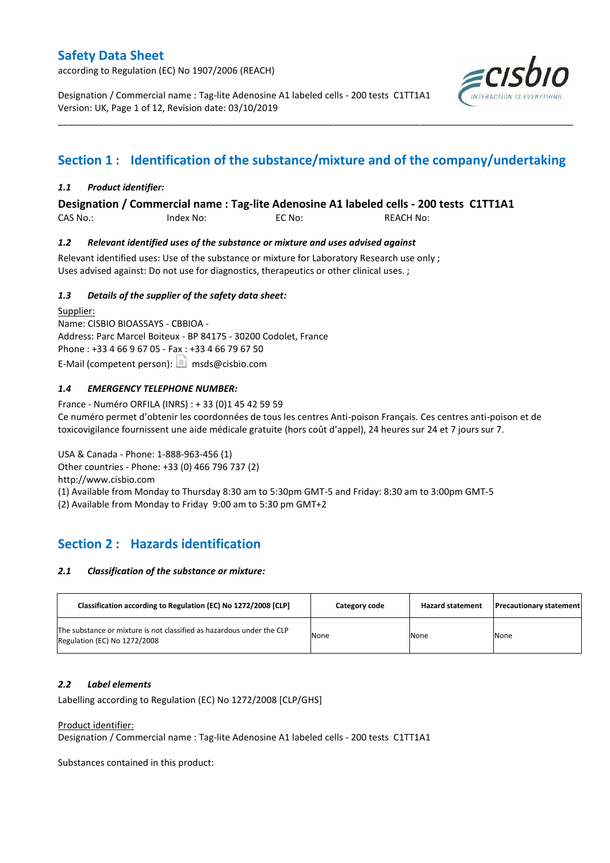according to Regulation (EC) No 1907/2006 (REACH)

Designation / Commercial name : Tag-lite Adenosine A1 labeled cells - 200 tests C1TT1A1 Version: UK, Page 1 of 12, Revision date: 03/10/2019



# **Section 1 : Identification of the substance/mixture and of the company/undertaking**

\_\_\_\_\_\_\_\_\_\_\_\_\_\_\_\_\_\_\_\_\_\_\_\_\_\_\_\_\_\_\_\_\_\_\_\_\_\_\_\_\_\_\_\_\_\_\_\_\_\_\_\_\_\_\_\_\_\_\_\_\_\_\_\_\_\_\_\_\_\_\_\_\_\_\_\_\_\_\_\_\_\_\_\_\_\_\_\_\_\_\_\_\_\_\_\_\_\_\_\_\_

### *1.1 Product identifier:*

**Designation / Commercial name : Tag-lite Adenosine A1 labeled cells - 200 tests C1TT1A1** 

CAS No.: Index No: EC No: REACH No:

### *1.2 Relevant identified uses of the substance or mixture and uses advised against*

Relevant identified uses: Use of the substance or mixture for Laboratory Research use only ; Uses advised against: Do not use for diagnostics, therapeutics or other clinical uses. ;

### *1.3 Details of the supplier of the safety data sheet:*

Supplier: Name: CISBIO BIOASSAYS - CBBIOA - Address: Parc Marcel Boiteux - BP 84175 - 30200 Codolet, France Phone : +33 4 66 9 67 05 - Fax : +33 4 66 79 67 50 E-Mail (competent person):  $\boxed{\equiv}$  msds@cisbio.com

### *1.4 EMERGENCY TELEPHONE NUMBER:*

France - Numéro ORFILA (INRS) : + 33 (0)1 45 42 59 59 Ce numéro permet d'obtenir les coordonnées de tous les centres Anti-poison Français. Ces centres anti-poison et de toxicovigilance fournissent une aide médicale gratuite (hors coût d'appel), 24 heures sur 24 et 7 jours sur 7.

USA & Canada - Phone: 1-888-963-456 (1) Other countries - Phone: +33 (0) 466 796 737 (2) http://www.cisbio.com (1) Available from Monday to Thursday 8:30 am to 5:30pm GMT-5 and Friday: 8:30 am to 3:00pm GMT-5 (2) Available from Monday to Friday 9:00 am to 5:30 pm GMT+2

## **Section 2 : Hazards identification**

#### *2.1 Classification of the substance or mixture:*

| Classification according to Regulation (EC) No 1272/2008 [CLP]                                        | Category code | <b>Hazard statement</b> | <b>Precautionary statement</b> |
|-------------------------------------------------------------------------------------------------------|---------------|-------------------------|--------------------------------|
| The substance or mixture is not classified as hazardous under the CLP<br>Regulation (EC) No 1272/2008 | None          | None                    | None                           |

#### *2.2 Label elements*

Labelling according to Regulation (EC) No 1272/2008 [CLP/GHS]

#### Product identifier:

Designation / Commercial name : Tag-lite Adenosine A1 labeled cells - 200 tests C1TT1A1

Substances contained in this product: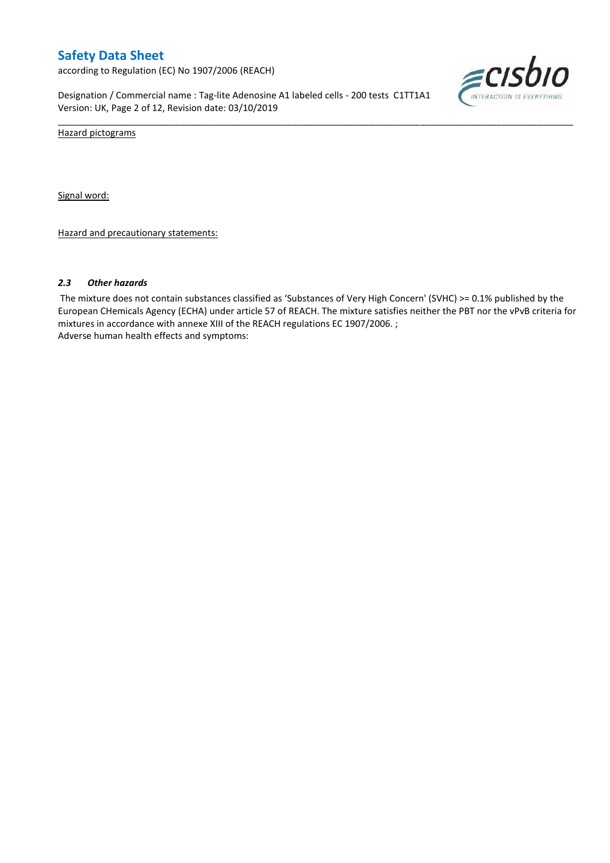according to Regulation (EC) No 1907/2006 (REACH)

Designation / Commercial name : Tag-lite Adenosine A1 labeled cells - 200 tests C1TT1A1 Version: UK, Page 2 of 12, Revision date: 03/10/2019



Hazard pictograms

Signal word:

Hazard and precautionary statements:

#### *2.3 Other hazards*

The mixture does not contain substances classified as 'Substances of Very High Concern' (SVHC) >= 0.1% published by the European CHemicals Agency (ECHA) under article 57 of REACH. The mixture satisfies neither the PBT nor the vPvB criteria for mixtures in accordance with annexe XIII of the REACH regulations EC 1907/2006. ; Adverse human health effects and symptoms:

\_\_\_\_\_\_\_\_\_\_\_\_\_\_\_\_\_\_\_\_\_\_\_\_\_\_\_\_\_\_\_\_\_\_\_\_\_\_\_\_\_\_\_\_\_\_\_\_\_\_\_\_\_\_\_\_\_\_\_\_\_\_\_\_\_\_\_\_\_\_\_\_\_\_\_\_\_\_\_\_\_\_\_\_\_\_\_\_\_\_\_\_\_\_\_\_\_\_\_\_\_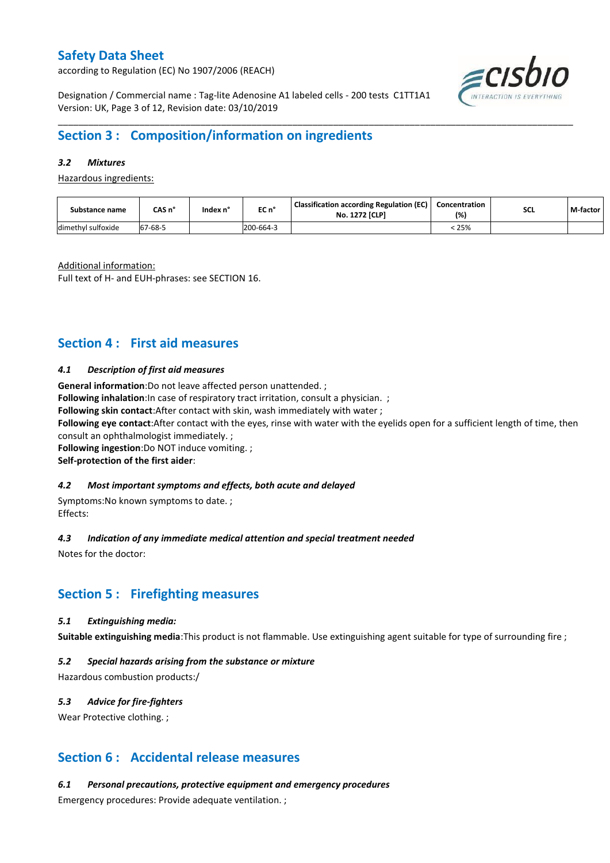according to Regulation (EC) No 1907/2006 (REACH)



Designation / Commercial name : Tag-lite Adenosine A1 labeled cells - 200 tests C1TT1A1 Version: UK, Page 3 of 12, Revision date: 03/10/2019

## **Section 3 : Composition/information on ingredients**

### *3.2 Mixtures*

Hazardous ingredients:

| Substance name     | CAS n°             | Index n' | EC n°     | <b>Classification according Regulation (EC)</b><br><b>No. 1272 [CLP]</b> | Concentration<br>(%) | <b>SCL</b> | M-factor |
|--------------------|--------------------|----------|-----------|--------------------------------------------------------------------------|----------------------|------------|----------|
| dimethyl sulfoxide | $7 - 68 - 5$<br>67 |          | 200-664-3 |                                                                          | 25%                  |            |          |

\_\_\_\_\_\_\_\_\_\_\_\_\_\_\_\_\_\_\_\_\_\_\_\_\_\_\_\_\_\_\_\_\_\_\_\_\_\_\_\_\_\_\_\_\_\_\_\_\_\_\_\_\_\_\_\_\_\_\_\_\_\_\_\_\_\_\_\_\_\_\_\_\_\_\_\_\_\_\_\_\_\_\_\_\_\_\_\_\_\_\_\_\_\_\_\_\_\_\_\_\_

Additional information:

Full text of H- and EUH-phrases: see SECTION 16.

## **Section 4 : First aid measures**

#### *4.1 Description of first aid measures*

**General information**:Do not leave affected person unattended. ;

**Following inhalation**: In case of respiratory tract irritation, consult a physician. ;

**Following skin contact**:After contact with skin, wash immediately with water ;

**Following eye contact**:After contact with the eyes, rinse with water with the eyelids open for a sufficient length of time, then consult an ophthalmologist immediately. ;

**Following ingestion**:Do NOT induce vomiting. ;

#### **Self-protection of the first aider**:

#### *4.2 Most important symptoms and effects, both acute and delayed*

Symptoms:No known symptoms to date. ; Effects:

#### *4.3 Indication of any immediate medical attention and special treatment needed*

Notes for the doctor:

## **Section 5 : Firefighting measures**

#### *5.1 Extinguishing media:*

**Suitable extinguishing media**:This product is not flammable. Use extinguishing agent suitable for type of surrounding fire ;

#### *5.2 Special hazards arising from the substance or mixture*

Hazardous combustion products:/

#### *5.3 Advice for fire-fighters*

Wear Protective clothing.;

### **Section 6 : Accidental release measures**

*6.1 Personal precautions, protective equipment and emergency procedures*

Emergency procedures: Provide adequate ventilation. ;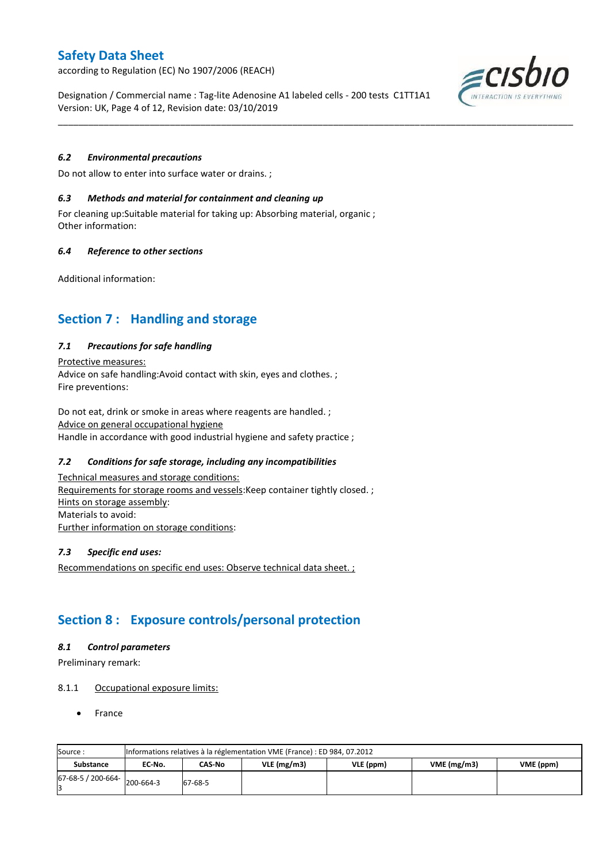according to Regulation (EC) No 1907/2006 (REACH)

Designation / Commercial name : Tag-lite Adenosine A1 labeled cells - 200 tests C1TT1A1 Version: UK, Page 4 of 12, Revision date: 03/10/2019

\_\_\_\_\_\_\_\_\_\_\_\_\_\_\_\_\_\_\_\_\_\_\_\_\_\_\_\_\_\_\_\_\_\_\_\_\_\_\_\_\_\_\_\_\_\_\_\_\_\_\_\_\_\_\_\_\_\_\_\_\_\_\_\_\_\_\_\_\_\_\_\_\_\_\_\_\_\_\_\_\_\_\_\_\_\_\_\_\_\_\_\_\_\_\_\_\_\_\_\_\_

### *6.2 Environmental precautions*

Do not allow to enter into surface water or drains. ;

#### *6.3 Methods and material for containment and cleaning up*

For cleaning up:Suitable material for taking up: Absorbing material, organic ; Other information:

#### *6.4 Reference to other sections*

Additional information:

## **Section 7 : Handling and storage**

#### *7.1 Precautions for safe handling*

Protective measures: Advice on safe handling:Avoid contact with skin, eyes and clothes. ; Fire preventions:

Do not eat, drink or smoke in areas where reagents are handled. ; Advice on general occupational hygiene Handle in accordance with good industrial hygiene and safety practice ;

### *7.2 Conditions for safe storage, including any incompatibilities*

Technical measures and storage conditions: Requirements for storage rooms and vessels: Keep container tightly closed. ; Hints on storage assembly: Materials to avoid: Further information on storage conditions:

#### *7.3 Specific end uses:*

Recommendations on specific end uses: Observe technical data sheet. ;

## **Section 8 : Exposure controls/personal protection**

#### *8.1 Control parameters*

Preliminary remark:

#### 8.1.1 Occupational exposure limits:

France

| Source:            |           | Informations relatives à la réglementation VME (France) : ED 984, 07.2012 |  |  |  |  |  |  |  |  |  |  |  |
|--------------------|-----------|---------------------------------------------------------------------------|--|--|--|--|--|--|--|--|--|--|--|
| <b>Substance</b>   | EC No.    | VME(mg/m3)<br>VLE(mg/m3)<br>VME (ppm)<br>CAS-No<br>VLE (ppm)              |  |  |  |  |  |  |  |  |  |  |  |
| 67-68-5 / 200-664- | 200-664-3 | 67-68-5                                                                   |  |  |  |  |  |  |  |  |  |  |  |

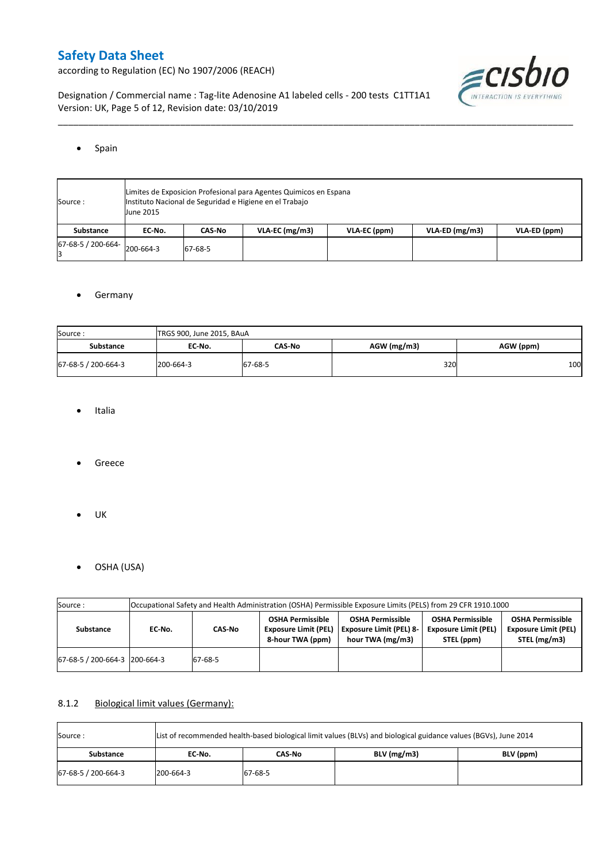according to Regulation (EC) No 1907/2006 (REACH)



Designation / Commercial name : Tag-lite Adenosine A1 labeled cells - 200 tests C1TT1A1 Version: UK, Page 5 of 12, Revision date: 03/10/2019

#### • Spain

| Source:                      | June 2015 | Limites de Exposicion Profesional para Agentes Quimicos en Espana<br>Instituto Nacional de Seguridad e Higiene en el Trabajo |                  |              |                  |              |  |  |  |  |  |  |  |
|------------------------------|-----------|------------------------------------------------------------------------------------------------------------------------------|------------------|--------------|------------------|--------------|--|--|--|--|--|--|--|
| Substance                    | EC No.    | CAS-No                                                                                                                       | $VLA-EC$ (mg/m3) | VLA-EC (ppm) | $VLA-ED (mg/m3)$ | VLA-ED (ppm) |  |  |  |  |  |  |  |
| 67-68-5 / 200-664- 200-664-3 |           | 67-68-5                                                                                                                      |                  |              |                  |              |  |  |  |  |  |  |  |

\_\_\_\_\_\_\_\_\_\_\_\_\_\_\_\_\_\_\_\_\_\_\_\_\_\_\_\_\_\_\_\_\_\_\_\_\_\_\_\_\_\_\_\_\_\_\_\_\_\_\_\_\_\_\_\_\_\_\_\_\_\_\_\_\_\_\_\_\_\_\_\_\_\_\_\_\_\_\_\_\_\_\_\_\_\_\_\_\_\_\_\_\_\_\_\_\_\_\_\_\_

### **•** Germany

| Source:             | TRGS 900, June 2015, BAuA |               |               |           |
|---------------------|---------------------------|---------------|---------------|-----------|
| <b>Substance</b>    | EC No.                    | <b>CAS-No</b> | $AGW$ (mg/m3) | AGW (ppm) |
| 67-68-5 / 200-664-3 | 200-664-3                 | 67-68-5       | 320           | 100       |

- Italia
- Greece
- $\bullet$  UK
- OSHA (USA)

| Source:                       |        |                                                                                                                                    |                                                                            |                                                                               |                                                                      |                                                                        |
|-------------------------------|--------|------------------------------------------------------------------------------------------------------------------------------------|----------------------------------------------------------------------------|-------------------------------------------------------------------------------|----------------------------------------------------------------------|------------------------------------------------------------------------|
| <b>Substance</b>              | EC No. | Occupational Safety and Health Administration (OSHA) Permissible Exposure Limits (PELS) from 29 CFR 1910.1000<br>CAS-No<br>67-68-5 | <b>OSHA Permissible</b><br><b>Exposure Limit (PEL)</b><br>8-hour TWA (ppm) | <b>OSHA Permissible</b><br><b>Exposure Limit (PEL) 8-</b><br>hour TWA (mg/m3) | <b>OSHA Permissible</b><br><b>Exposure Limit (PEL)</b><br>STEL (ppm) | <b>OSHA Permissible</b><br><b>Exposure Limit (PEL)</b><br>STEL (mg/m3) |
| 67-68-5 / 200-664-3 200-664-3 |        |                                                                                                                                    |                                                                            |                                                                               |                                                                      |                                                                        |

### 8.1.2 Biological limit values (Germany):

| Source:             | List of recommended health-based biological limit values (BLVs) and biological guidance values (BGVs), June 2014 |         |               |           |  |  |  |  |  |  |  |
|---------------------|------------------------------------------------------------------------------------------------------------------|---------|---------------|-----------|--|--|--|--|--|--|--|
| Substance           | EC No.                                                                                                           | CAS-No  | $BLV$ (mg/m3) | BLV (ppm) |  |  |  |  |  |  |  |
| 67-68-5 / 200-664-3 | 200-664-3                                                                                                        | 67-68-5 |               |           |  |  |  |  |  |  |  |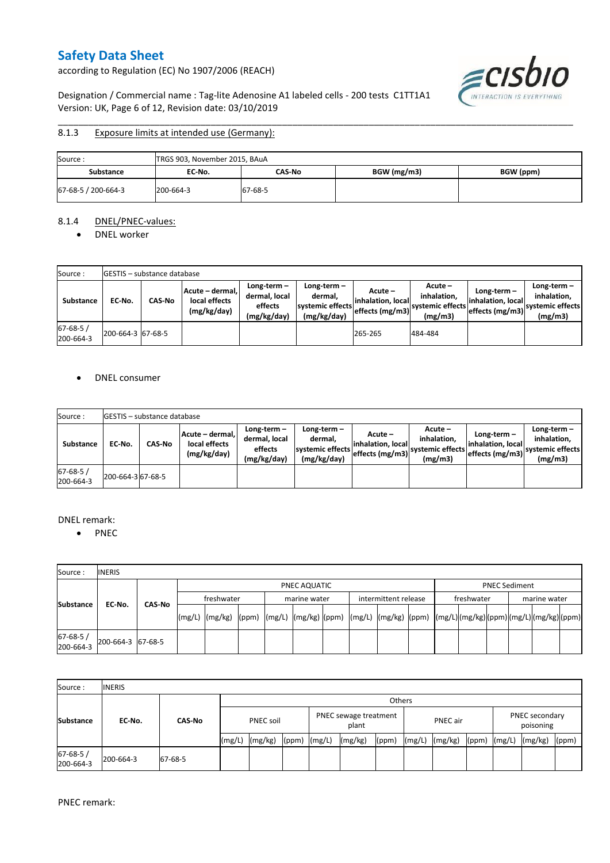according to Regulation (EC) No 1907/2006 (REACH)

 $\epsilon$ cisbio INTERACTION IS EV YTHING

Designation / Commercial name : Tag-lite Adenosine A1 labeled cells - 200 tests C1TT1A1 Version: UK, Page 6 of 12, Revision date: 03/10/2019

#### \_\_\_\_\_\_\_\_\_\_\_\_\_\_\_\_\_\_\_\_\_\_\_\_\_\_\_\_\_\_\_\_\_\_\_\_\_\_\_\_\_\_\_\_\_\_\_\_\_\_\_\_\_\_\_\_\_\_\_\_\_\_\_\_\_\_\_\_\_\_\_\_\_\_\_\_\_\_\_\_\_\_\_\_\_\_\_\_\_\_\_\_\_\_\_\_\_\_\_\_\_ 8.1.3 Exposure limits at intended use (Germany):

| Source:             | TRGS 903, November 2015, BAuA |         |             |           |
|---------------------|-------------------------------|---------|-------------|-----------|
| Substance           | EC No.                        | CAS-No  | BGW (mg/m3) | BGW (ppm) |
| 67-68-5 / 200-664-3 | 200-664-3                     | 67-68-5 |             |           |

#### 8.1.4 DNEL/PNEC-values:

• DNEL worker

| Source:                    |                   | <b>GESTIS</b> – substance database |                                                 |                                                       |                                                           |                                                      |                                                       |                                                        |                                                          |
|----------------------------|-------------------|------------------------------------|-------------------------------------------------|-------------------------------------------------------|-----------------------------------------------------------|------------------------------------------------------|-------------------------------------------------------|--------------------------------------------------------|----------------------------------------------------------|
| Substance                  | EC No.            | <b>CAS-No</b>                      | Acute - dermal,<br>local effects<br>(mg/kg/day) | Long-term-<br>dermal, local<br>effects<br>(mg/kg/day) | Long-term –<br>dermal.<br>systemic effects<br>(mg/kg/day) | $Acute -$<br>linhalation. local<br>effects $(mg/m3)$ | Acute -<br>inhalation.<br>systemic effects<br>(mg/m3) | $Long-term -$<br>linhalation. local<br>effects (mg/m3) | Long-term-<br>inhalation.<br>systemic effects<br>(mg/m3) |
| $67 - 68 - 5$<br>200-664-3 | 200-664-3 67-68-5 |                                    |                                                 |                                                       |                                                           | 265-265                                              | 484-484                                               |                                                        |                                                          |

### • DNEL consumer

| Source:                     |                   | <b>IGESTIS - substance database</b> |                                                 |                                                       |                                                             |                                                  |                                                       |                                                      |                                                             |
|-----------------------------|-------------------|-------------------------------------|-------------------------------------------------|-------------------------------------------------------|-------------------------------------------------------------|--------------------------------------------------|-------------------------------------------------------|------------------------------------------------------|-------------------------------------------------------------|
| <b>Substance</b>            | EC No.            | <b>CAS No</b>                       | Acute - dermal.<br>local effects<br>(mg/kg/day) | Long-term-<br>dermal, local<br>effects<br>(mg/kg/day) | Long-term $-$<br>dermal.<br>systemic effects<br>(mg/kg/day) | Acute –<br>linhalation. local<br>effects (mg/m3) | Acute -<br>inhalation.<br>systemic effects<br>(mg/m3) | Long-term –<br>linhalation. local<br>effects (mg/m3) | $Long-term -$<br>inhalation.<br>systemic effects<br>(mg/m3) |
| $67 - 68 - 5/$<br>200-664-3 | 200-664-3 67-68-5 |                                     |                                                 |                                                       |                                                             |                                                  |                                                       |                                                      |                                                             |

#### DNEL remark:

• PNEC

| Source:               | <b>INERIS</b>     |  |              |                                                                                                                                                                                                                                                                                                                                                                                                                                                                   |  |  |                                      |  |  |  |  |            |                      |  |              |  |  |
|-----------------------|-------------------|--|--------------|-------------------------------------------------------------------------------------------------------------------------------------------------------------------------------------------------------------------------------------------------------------------------------------------------------------------------------------------------------------------------------------------------------------------------------------------------------------------|--|--|--------------------------------------|--|--|--|--|------------|----------------------|--|--------------|--|--|
|                       |                   |  | PNEC AQUATIC |                                                                                                                                                                                                                                                                                                                                                                                                                                                                   |  |  |                                      |  |  |  |  |            | <b>PNEC Sediment</b> |  |              |  |  |
| CAS-No                |                   |  | freshwater   |                                                                                                                                                                                                                                                                                                                                                                                                                                                                   |  |  | intermittent release<br>marine water |  |  |  |  | freshwater |                      |  | marine water |  |  |
| <b>Substance</b>      | EC-No.            |  | (mg/L)       | $\lceil \frac{\text{mg}}{\text{mg}} \rceil \text{g} \rceil \text{g} \rceil \text{g} \rceil \text{g} \rceil \text{g} \rceil \text{g} \rceil \text{g} \rceil \text{g} \rceil \text{g} \rceil \text{g} \rceil \text{g} \rceil \text{g} \rceil \text{g} \rceil \text{g} \rceil \text{g} \rceil \text{g} \rceil \text{g} \rceil \text{g} \rceil \text{g} \rceil \text{g} \rceil \text{g} \rceil \text{g} \rceil \text{g} \rceil \text{g} \rceil \text{g} \rceil \text$ |  |  |                                      |  |  |  |  |            |                      |  |              |  |  |
| 67-68-5/<br>200-664-3 | 200-664-3 67-68-5 |  |              |                                                                                                                                                                                                                                                                                                                                                                                                                                                                   |  |  |                                      |  |  |  |  |            |                      |  |              |  |  |

| Source:                     | <b>INERIS</b> |               |                  |         |                                |  |         |          |        |         |                             |        |         |       |
|-----------------------------|---------------|---------------|------------------|---------|--------------------------------|--|---------|----------|--------|---------|-----------------------------|--------|---------|-------|
|                             |               |               | <b>Others</b>    |         |                                |  |         |          |        |         |                             |        |         |       |
| <b>Substance</b>            | EC-No.        | <b>CAS-No</b> | <b>PNEC soil</b> |         | PNEC sewage treatment<br>plant |  |         | PNEC air |        |         | PNEC secondary<br>poisoning |        |         |       |
|                             |               |               | (mg/L)           | (mg/kg) | $(ppm)$ $(mg/L)$               |  | (mg/kg) | (ppm)    | (mg/L) | (mg/kg) | (ppm)                       | (mg/L) | (mg/kg) | (ppm) |
| $67 - 68 - 5/$<br>200-664-3 | 200-664-3     | 67-68-5       |                  |         |                                |  |         |          |        |         |                             |        |         |       |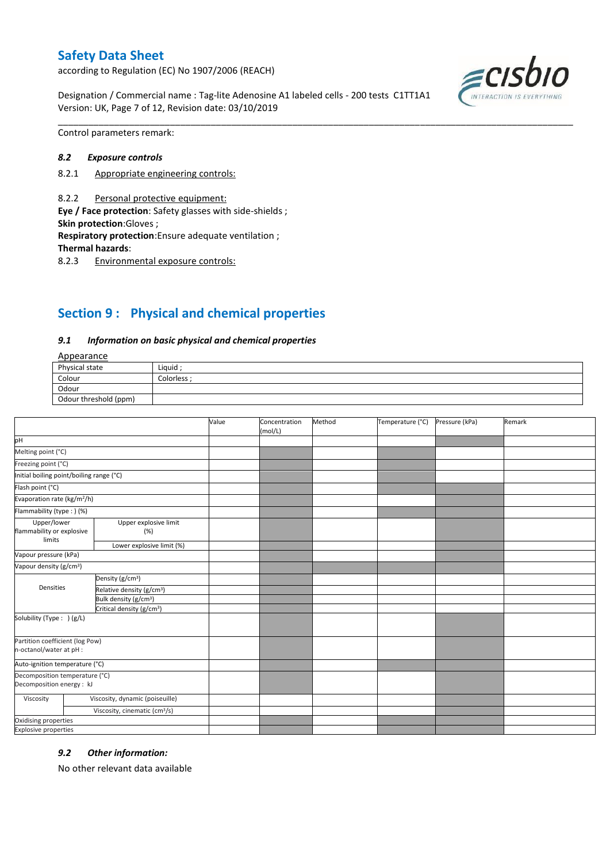according to Regulation (EC) No 1907/2006 (REACH)

Designation / Commercial name : Tag-lite Adenosine A1 labeled cells - 200 tests C1TT1A1 Version: UK, Page 7 of 12, Revision date: 03/10/2019



Control parameters remark:

#### *8.2 Exposure controls*

- 8.2.1 Appropriate engineering controls:
- 8.2.2 Personal protective equipment:

**Eye / Face protection**: Safety glasses with side-shields ; **Skin protection**:Gloves ;

**Respiratory protection**:Ensure adequate ventilation ;

**Thermal hazards**:

8.2.3 Environmental exposure controls:

# **Section 9 : Physical and chemical properties**

#### *9.1 Information on basic physical and chemical properties*

### **Annearance**

| n                     |            |  |  |
|-----------------------|------------|--|--|
| Physical state        | Liquid     |  |  |
| Colour                | Colorless: |  |  |
| Odour                 |            |  |  |
| Odour threshold (ppm) |            |  |  |

\_\_\_\_\_\_\_\_\_\_\_\_\_\_\_\_\_\_\_\_\_\_\_\_\_\_\_\_\_\_\_\_\_\_\_\_\_\_\_\_\_\_\_\_\_\_\_\_\_\_\_\_\_\_\_\_\_\_\_\_\_\_\_\_\_\_\_\_\_\_\_\_\_\_\_\_\_\_\_\_\_\_\_\_\_\_\_\_\_\_\_\_\_\_\_\_\_\_\_\_\_

|                                                             |                                           | Value | Concentration<br>(mol/L) | Method | Temperature (°C) | Pressure (kPa) | Remark |
|-------------------------------------------------------------|-------------------------------------------|-------|--------------------------|--------|------------------|----------------|--------|
| pH                                                          |                                           |       |                          |        |                  |                |        |
| Melting point (°C)                                          |                                           |       |                          |        |                  |                |        |
| Freezing point (°C)                                         |                                           |       |                          |        |                  |                |        |
| Initial boiling point/boiling range (°C)                    |                                           |       |                          |        |                  |                |        |
| Flash point (°C)                                            |                                           |       |                          |        |                  |                |        |
| Evaporation rate (kg/m <sup>2</sup> /h)                     |                                           |       |                          |        |                  |                |        |
| Flammability (type:) (%)                                    |                                           |       |                          |        |                  |                |        |
| Upper/lower<br>flammability or explosive<br>limits          | Upper explosive limit<br>(%)              |       |                          |        |                  |                |        |
|                                                             | Lower explosive limit (%)                 |       |                          |        |                  |                |        |
| Vapour pressure (kPa)                                       |                                           |       |                          |        |                  |                |        |
| Vapour density (g/cm <sup>3</sup> )                         |                                           |       |                          |        |                  |                |        |
|                                                             | Density (g/cm <sup>3</sup> )              |       |                          |        |                  |                |        |
| Densities                                                   | Relative density (g/cm <sup>3</sup> )     |       |                          |        |                  |                |        |
|                                                             | Bulk density (g/cm <sup>3</sup> )         |       |                          |        |                  |                |        |
| Critical density (g/cm <sup>3</sup> )                       |                                           |       |                          |        |                  |                |        |
| Solubility (Type: ) (g/L)                                   |                                           |       |                          |        |                  |                |        |
| Partition coefficient (log Pow)                             |                                           |       |                          |        |                  |                |        |
| n-octanol/water at pH :                                     |                                           |       |                          |        |                  |                |        |
| Auto-ignition temperature (°C)                              |                                           |       |                          |        |                  |                |        |
| Decomposition temperature (°C)<br>Decomposition energy : kJ |                                           |       |                          |        |                  |                |        |
| Viscosity                                                   | Viscosity, dynamic (poiseuille)           |       |                          |        |                  |                |        |
|                                                             | Viscosity, cinematic (cm <sup>3</sup> /s) |       |                          |        |                  |                |        |
| Oxidising properties                                        |                                           |       |                          |        |                  |                |        |
| <b>Explosive properties</b>                                 |                                           |       |                          |        |                  |                |        |

#### *9.2 Other information:*

No other relevant data available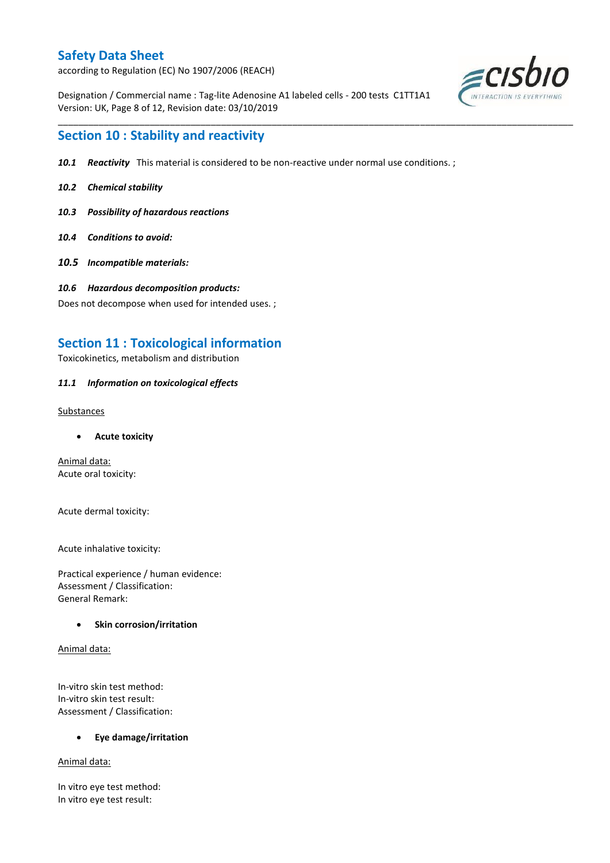according to Regulation (EC) No 1907/2006 (REACH)

Designation / Commercial name : Tag-lite Adenosine A1 labeled cells - 200 tests C1TT1A1 Version: UK, Page 8 of 12, Revision date: 03/10/2019



## **Section 10 : Stability and reactivity**

*10.1 Reactivity* This material is considered to be non-reactive under normal use conditions. ;

\_\_\_\_\_\_\_\_\_\_\_\_\_\_\_\_\_\_\_\_\_\_\_\_\_\_\_\_\_\_\_\_\_\_\_\_\_\_\_\_\_\_\_\_\_\_\_\_\_\_\_\_\_\_\_\_\_\_\_\_\_\_\_\_\_\_\_\_\_\_\_\_\_\_\_\_\_\_\_\_\_\_\_\_\_\_\_\_\_\_\_\_\_\_\_\_\_\_\_\_\_

- *10.2 Chemical stability*
- *10.3 Possibility of hazardous reactions*
- *10.4 Conditions to avoid:*
- *10.5 Incompatible materials:*
- *10.6 Hazardous decomposition products:*

Does not decompose when used for intended uses. ;

## **Section 11 : Toxicological information**

Toxicokinetics, metabolism and distribution

### *11.1 Information on toxicological effects*

Substances

**Acute toxicity**

Animal data: Acute oral toxicity:

Acute dermal toxicity:

Acute inhalative toxicity:

Practical experience / human evidence: Assessment / Classification: General Remark:

### **•** Skin corrosion/irritation

Animal data:

In-vitro skin test method: In-vitro skin test result: Assessment / Classification:

**Eye damage/irritation**

Animal data:

In vitro eye test method: In vitro eye test result: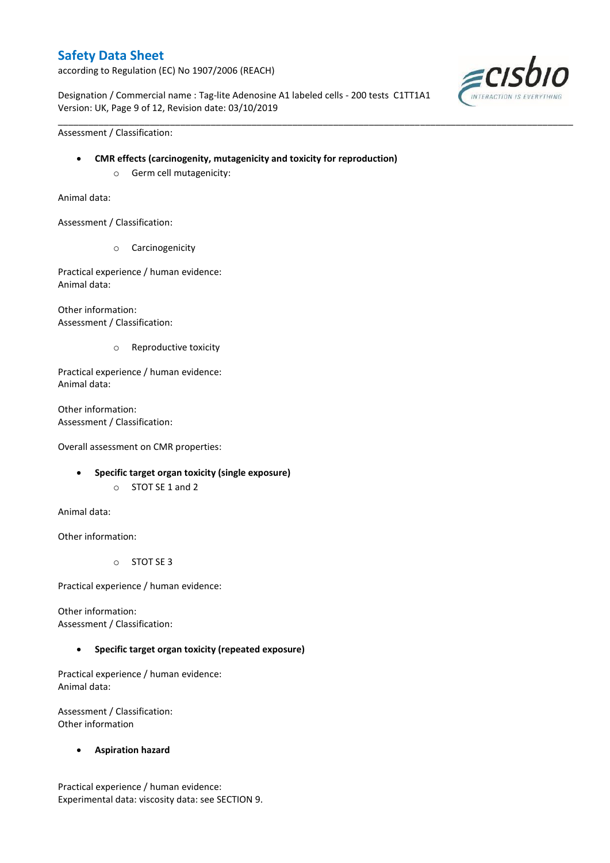according to Regulation (EC) No 1907/2006 (REACH)

Designation / Commercial name : Tag-lite Adenosine A1 labeled cells - 200 tests C1TT1A1 Version: UK, Page 9 of 12, Revision date: 03/10/2019

\_\_\_\_\_\_\_\_\_\_\_\_\_\_\_\_\_\_\_\_\_\_\_\_\_\_\_\_\_\_\_\_\_\_\_\_\_\_\_\_\_\_\_\_\_\_\_\_\_\_\_\_\_\_\_\_\_\_\_\_\_\_\_\_\_\_\_\_\_\_\_\_\_\_\_\_\_\_\_\_\_\_\_\_\_\_\_\_\_\_\_\_\_\_\_\_\_\_\_\_\_



Assessment / Classification:

- **CMR effects (carcinogenity, mutagenicity and toxicity for reproduction)**
	- o Germ cell mutagenicity:

Animal data:

Assessment / Classification:

o Carcinogenicity

Practical experience / human evidence: Animal data:

Other information: Assessment / Classification:

o Reproductive toxicity

Practical experience / human evidence: Animal data:

Other information: Assessment / Classification:

Overall assessment on CMR properties:

- **Specific target organ toxicity (single exposure)**
	- o STOT SE 1 and 2

Animal data:

Other information:

o STOT SE 3

Practical experience / human evidence:

Other information: Assessment / Classification:

### **Specific target organ toxicity (repeated exposure)**

Practical experience / human evidence: Animal data:

Assessment / Classification: Other information

**Aspiration hazard**

Practical experience / human evidence: Experimental data: viscosity data: see SECTION 9.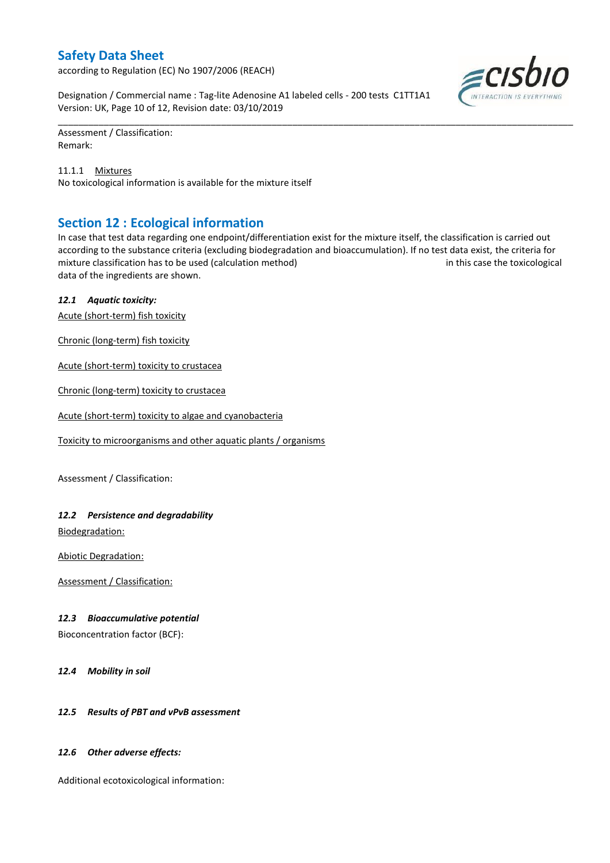according to Regulation (EC) No 1907/2006 (REACH)

Designation / Commercial name : Tag-lite Adenosine A1 labeled cells - 200 tests C1TT1A1 Version: UK, Page 10 of 12, Revision date: 03/10/2019

Assessment / Classification: Remark:

11.1.1 Mixtures No toxicological information is available for the mixture itself

## **Section 12 : Ecological information**

In case that test data regarding one endpoint/differentiation exist for the mixture itself, the classification is carried out according to the substance criteria (excluding biodegradation and bioaccumulation). If no test data exist, the criteria for mixture classification has to be used (calculation method) in this case the toxicological data of the ingredients are shown.

\_\_\_\_\_\_\_\_\_\_\_\_\_\_\_\_\_\_\_\_\_\_\_\_\_\_\_\_\_\_\_\_\_\_\_\_\_\_\_\_\_\_\_\_\_\_\_\_\_\_\_\_\_\_\_\_\_\_\_\_\_\_\_\_\_\_\_\_\_\_\_\_\_\_\_\_\_\_\_\_\_\_\_\_\_\_\_\_\_\_\_\_\_\_\_\_\_\_\_\_\_

### *12.1 Aquatic toxicity:*

Acute (short-term) fish toxicity

Chronic (long-term) fish toxicity

Acute (short-term) toxicity to crustacea

Chronic (long-term) toxicity to crustacea

Acute (short-term) toxicity to algae and cyanobacteria

Toxicity to microorganisms and other aquatic plants / organisms

Assessment / Classification:

### *12.2 Persistence and degradability*

Biodegradation:

Abiotic Degradation:

Assessment / Classification:

### *12.3 Bioaccumulative potential*

Bioconcentration factor (BCF):

*12.4 Mobility in soil*

### *12.5 Results of PBT and vPvB assessment*

### *12.6 Other adverse effects:*

Additional ecotoxicological information:

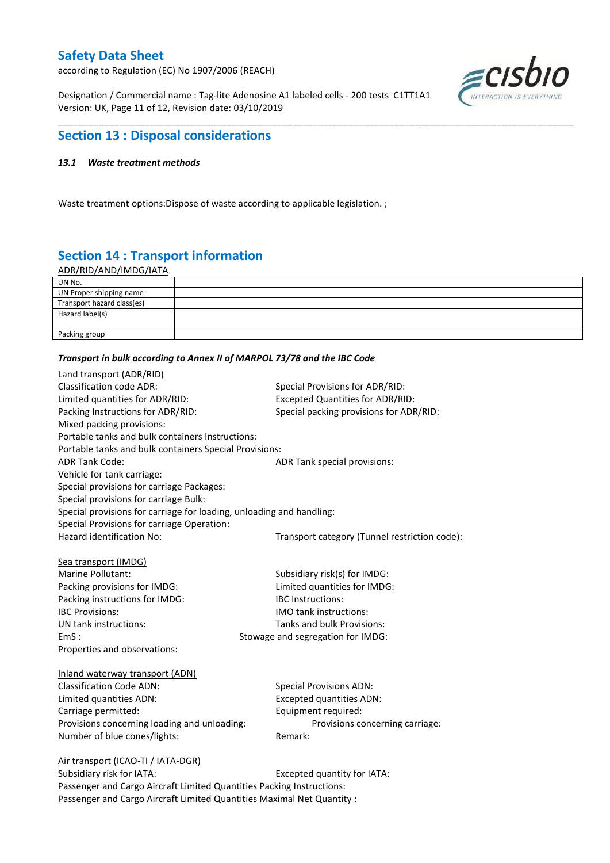according to Regulation (EC) No 1907/2006 (REACH)

Designation / Commercial name : Tag-lite Adenosine A1 labeled cells - 200 tests C1TT1A1 Version: UK, Page 11 of 12, Revision date: 03/10/2019



## **Section 13 : Disposal considerations**

### *13.1 Waste treatment methods*

Waste treatment options:Dispose of waste according to applicable legislation. ;

# **Section 14 : Transport information**

ADR/RID/AND/IMDG/IATA

| UN No.                     |  |
|----------------------------|--|
| UN Proper shipping name    |  |
| Transport hazard class(es) |  |
| Hazard label(s)            |  |
| Packing group              |  |

\_\_\_\_\_\_\_\_\_\_\_\_\_\_\_\_\_\_\_\_\_\_\_\_\_\_\_\_\_\_\_\_\_\_\_\_\_\_\_\_\_\_\_\_\_\_\_\_\_\_\_\_\_\_\_\_\_\_\_\_\_\_\_\_\_\_\_\_\_\_\_\_\_\_\_\_\_\_\_\_\_\_\_\_\_\_\_\_\_\_\_\_\_\_\_\_\_\_\_\_\_

#### *Transport in bulk according to Annex II of MARPOL 73/78 and the IBC Code*

| Land transport (ADR/RID)                                             |                                               |  |  |  |  |
|----------------------------------------------------------------------|-----------------------------------------------|--|--|--|--|
| <b>Classification code ADR:</b>                                      | Special Provisions for ADR/RID:               |  |  |  |  |
| Limited quantities for ADR/RID:                                      | <b>Excepted Quantities for ADR/RID:</b>       |  |  |  |  |
| Packing Instructions for ADR/RID:                                    | Special packing provisions for ADR/RID:       |  |  |  |  |
| Mixed packing provisions:                                            |                                               |  |  |  |  |
| Portable tanks and bulk containers Instructions:                     |                                               |  |  |  |  |
| Portable tanks and bulk containers Special Provisions:               |                                               |  |  |  |  |
| <b>ADR Tank Code:</b>                                                | ADR Tank special provisions:                  |  |  |  |  |
| Vehicle for tank carriage:                                           |                                               |  |  |  |  |
| Special provisions for carriage Packages:                            |                                               |  |  |  |  |
| Special provisions for carriage Bulk:                                |                                               |  |  |  |  |
| Special provisions for carriage for loading, unloading and handling: |                                               |  |  |  |  |
| Special Provisions for carriage Operation:                           |                                               |  |  |  |  |
| Hazard identification No:                                            | Transport category (Tunnel restriction code): |  |  |  |  |
|                                                                      |                                               |  |  |  |  |
| Sea transport (IMDG)                                                 |                                               |  |  |  |  |
| Marine Pollutant:                                                    | Subsidiary risk(s) for IMDG:                  |  |  |  |  |
| Packing provisions for IMDG:                                         | Limited quantities for IMDG:                  |  |  |  |  |
| Packing instructions for IMDG:                                       | <b>IBC</b> Instructions:                      |  |  |  |  |
| <b>IBC Provisions:</b>                                               | <b>IMO</b> tank instructions:                 |  |  |  |  |
| UN tank instructions:                                                | Tanks and bulk Provisions:                    |  |  |  |  |
| EmS:<br>Stowage and segregation for IMDG:                            |                                               |  |  |  |  |
| Properties and observations:                                         |                                               |  |  |  |  |
| Inland waterway transport (ADN)                                      |                                               |  |  |  |  |
| <b>Classification Code ADN:</b>                                      | <b>Special Provisions ADN:</b>                |  |  |  |  |
| Limited quantities ADN:                                              | <b>Excepted quantities ADN:</b>               |  |  |  |  |
| Carriage permitted:                                                  | Equipment required:                           |  |  |  |  |
| Provisions concerning loading and unloading:                         | Provisions concerning carriage:               |  |  |  |  |
| Number of blue cones/lights:                                         | Remark:                                       |  |  |  |  |
| Air transport (ICAO-TI / IATA-DGR)                                   |                                               |  |  |  |  |
| Cubridians rick for IATA.                                            | Evented quantity for IATA.                    |  |  |  |  |

Subsidiary risk for IATA: Excepted quantity for IATA: Passenger and Cargo Aircraft Limited Quantities Packing Instructions: Passenger and Cargo Aircraft Limited Quantities Maximal Net Quantity :